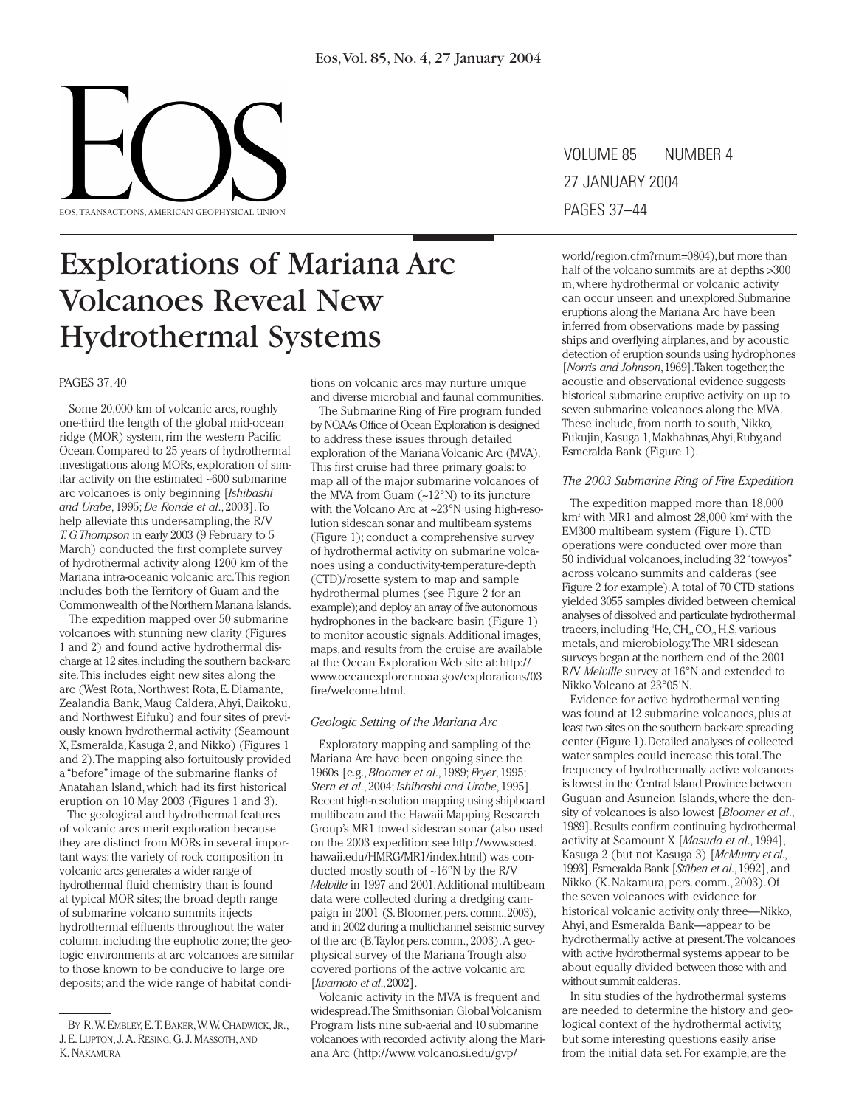

## Explorations of Mariana Arc Volcanoes Reveal New Hydrothermal Systems

#### PAGES 37, 40

Some 20,000 km of volcanic arcs, roughly one-third the length of the global mid-ocean ridge (MOR) system, rim the western Pacific Ocean.Compared to 25 years of hydrothermal investigations along MORs, exploration of similar activity on the estimated ~600 submarine arc volcanoes is only beginning [*Ishibashi and Urabe*, 1995; *De Ronde et al*., 2003].To help alleviate this under-sampling, the R/V *T.G.Thompson* in early 2003 (9 February to 5 March) conducted the first complete survey of hydrothermal activity along 1200 km of the Mariana intra-oceanic volcanic arc.This region includes both the Territory of Guam and the Commonwealth of the Northern Mariana Islands.

The expedition mapped over 50 submarine volcanoes with stunning new clarity (Figures 1 and 2) and found active hydrothermal discharge at 12 sites,including the southern back-arc site.This includes eight new sites along the arc (West Rota, Northwest Rota, E. Diamante, Zealandia Bank, Maug Caldera,Ahyi, Daikoku, and Northwest Eifuku) and four sites of previously known hydrothermal activity (Seamount X, Esmeralda, Kasuga 2, and Nikko) (Figures 1 and 2).The mapping also fortuitously provided a "before"image of the submarine flanks of Anatahan Island, which had its first historical eruption on 10 May 2003 (Figures 1 and 3).

The geological and hydrothermal features of volcanic arcs merit exploration because they are distinct from MORs in several important ways: the variety of rock composition in volcanic arcs generates a wider range of hydrothermal fluid chemistry than is found at typical MOR sites; the broad depth range of submarine volcano summits injects hydrothermal effluents throughout the water column, including the euphotic zone; the geologic environments at arc volcanoes are similar to those known to be conducive to large ore deposits; and the wide range of habitat conditions on volcanic arcs may nurture unique and diverse microbial and faunal communities.

The Submarine Ring of Fire program funded by NOAA's Office of Ocean Exploration is designed to address these issues through detailed exploration of the Mariana Volcanic Arc (MVA). This first cruise had three primary goals: to map all of the major submarine volcanoes of the MVA from Guam (~12°N) to its juncture with the Volcano Arc at ~23°N using high-resolution sidescan sonar and multibeam systems (Figure 1); conduct a comprehensive survey of hydrothermal activity on submarine volcanoes using a conductivity-temperature-depth (CTD)/rosette system to map and sample hydrothermal plumes (see Figure 2 for an example);and deploy an array of five autonomous hydrophones in the back-arc basin (Figure 1) to monitor acoustic signals.Additional images, maps,and results from the cruise are available at the Ocean Exploration Web site at: http:// www.oceanexplorer.noaa.gov/explorations/03 fire/welcome.html.

#### *Geologic Setting of the Mariana Arc*

Exploratory mapping and sampling of the Mariana Arc have been ongoing since the 1960s [e.g.,*Bloomer et al*., 1989; *Fryer*, 1995; *Stern et al*., 2004; *Ishibashi and Urabe*, 1995]. Recent high-resolution mapping using shipboard multibeam and the Hawaii Mapping Research Group's MR1 towed sidescan sonar (also used on the 2003 expedition; see http://www.soest. hawaii.edu/HMRG/MR1/index.html) was conducted mostly south of ~16°N by the R/V *Melville* in 1997 and 2001.Additional multibeam data were collected during a dredging campaign in 2001 (S. Bloomer, pers. comm.,2003), and in 2002 during a multichannel seismic survey of the arc (B.Taylor,pers.comm., 2003).A geophysical survey of the Mariana Trough also covered portions of the active volcanic arc [*Iwamoto et al*.,2002].

Volcanic activity in the MVA is frequent and widespread.The Smithsonian Global Volcanism Program lists nine sub-aerial and 10 submarine volcanoes with recorded activity along the Mariana Arc (http://www. volcano.si.edu/gvp/

VOLUME 85 NUMBER 4 27 JANUARY 2004 PAGES 37–44

world/region.cfm?rnum=0804),but more than half of the volcano summits are at depths >300 m, where hydrothermal or volcanic activity can occur unseen and unexplored.Submarine eruptions along the Mariana Arc have been inferred from observations made by passing ships and overflying airplanes,and by acoustic detection of eruption sounds using hydrophones [*Norris and Johnson*, 1969]. Taken together, the acoustic and observational evidence suggests historical submarine eruptive activity on up to seven submarine volcanoes along the MVA. These include, from north to south, Nikko, Fukujin,Kasuga 1,Makhahnas,Ahyi,Ruby,and Esmeralda Bank (Figure 1).

#### *The 2003 Submarine Ring of Fire Expedition*

The expedition mapped more than 18,000 km2 with MR1 and almost 28,000 km2 with the EM300 multibeam system (Figure 1). CTD operations were conducted over more than 50 individual volcanoes,including 32 "tow-yos" across volcano summits and calderas (see Figure 2 for example).A total of 70 CTD stations yielded 3055 samples divided between chemical analyses of dissolved and particulate hydrothermal tracers, including <sup>3</sup>He, CH<sub>4</sub>, CO<sub>2</sub>, H<sub>2</sub>S, various metals, and microbiology.The MR1 sidescan surveys began at the northern end of the 2001 R/V *Melville* survey at 16°N and extended to Nikko Volcano at 23°05'N.

Evidence for active hydrothermal venting was found at 12 submarine volcanoes, plus at least two sites on the southern back-arc spreading center (Figure 1).Detailed analyses of collected water samples could increase this total.The frequency of hydrothermally active volcanoes is lowest in the Central Island Province between Guguan and Asuncion Islands, where the density of volcanoes is also lowest [*Bloomer et al*., 1989].Results confirm continuing hydrothermal activity at Seamount X [*Masuda et al*., 1994], Kasuga 2 (but not Kasuga 3) [*McMurtry et al*., 1993],Esmeralda Bank [*Stüben et al*.,1992], and Nikko (K. Nakamura, pers. comm., 2003). Of the seven volcanoes with evidence for historical volcanic activity, only three—Nikko, Ahyi, and Esmeralda Bank—appear to be hydrothermally active at present.The volcanoes with active hydrothermal systems appear to be about equally divided between those with and without summit calderas.

In situ studies of the hydrothermal systems are needed to determine the history and geological context of the hydrothermal activity, but some interesting questions easily arise from the initial data set. For example, are the

BY R.W. EMBLEY, E.T. BAKER,W.W. CHADWICK, JR., J. E. LUPTON, J.A. RESING, G. J. MASSOTH,AND K. NAKAMURA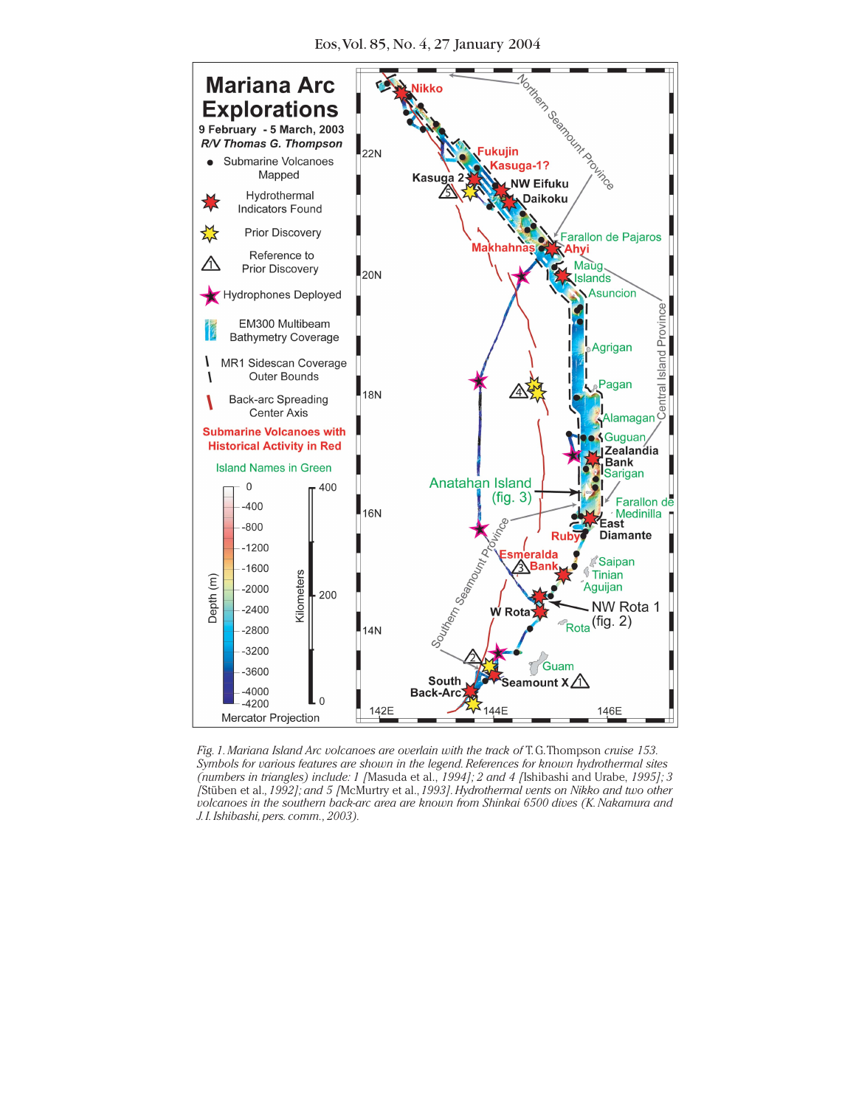

*Fig.1.Mariana Island Arc volcanoes are overlain with the track of* T. G.Thompson *cruise 153. Symbols for various features are shown in the legend.References for known hydrothermal sites (numbers in triangles) include: 1 [*Masuda et al., *1994]; 2 and 4 [*Ishibashi and Urabe, *1995]; 3 [*Stüben et al.*,1992]; and 5 [*McMurtry et al.,*1993].Hydrothermal vents on Nikko and two other* volcanoes in the southern back-arc area are known from Shinkai 6500 dives (K. Nakamura and *J.I.Ishibashi,pers.comm.,2003).*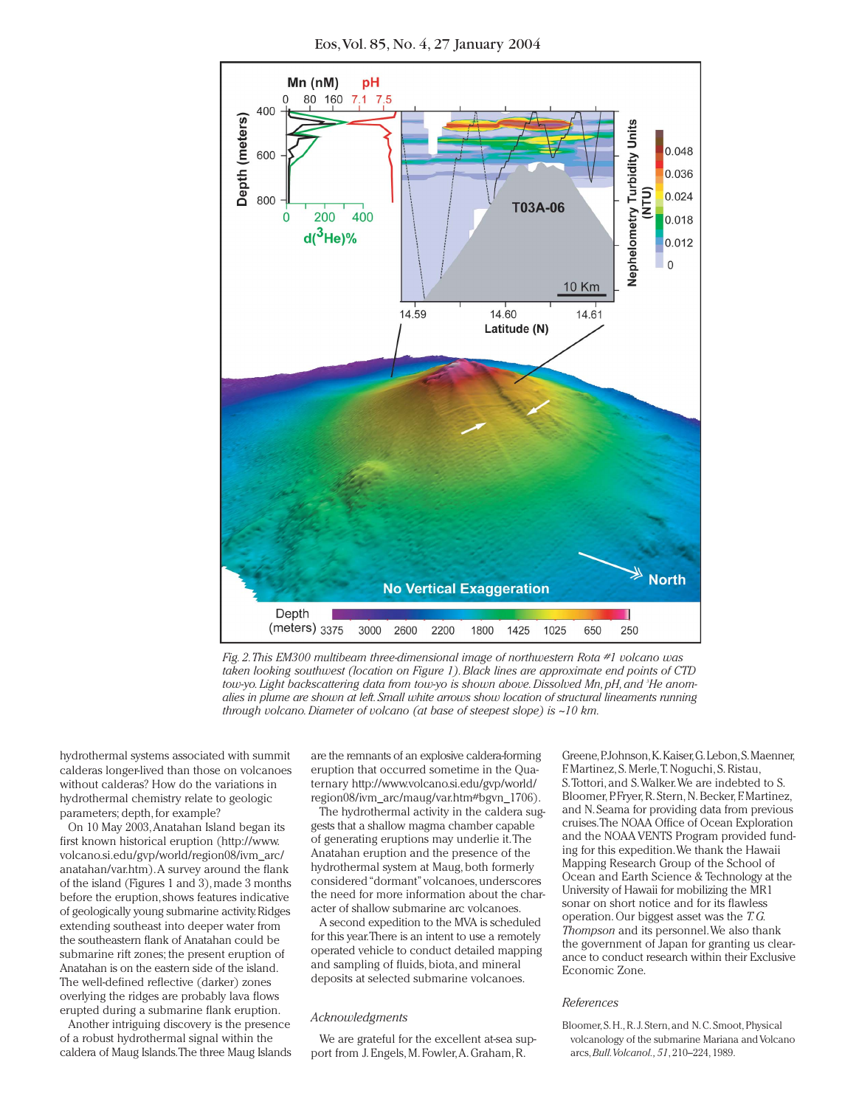Eos,Vol. 85, No. 4, 27 January 2004



*Fig.2.This EM300 multibeam three-dimensional image of northwestern Rota #1 volcano was taken looking southwest (location on Figure 1).Black lines are approximate end points of CTD tow-yo.Light backscattering data from tow-yo is shown above.Dissolved Mn,pH,and 3 He anomalies in plume are shown at left.Small white arrows show location of structural lineaments running through volcano.Diameter of volcano (at base of steepest slope) is ~10 km.*

hydrothermal systems associated with summit calderas longer-lived than those on volcanoes without calderas? How do the variations in hydrothermal chemistry relate to geologic parameters; depth, for example?

On 10 May 2003,Anatahan Island began its first known historical eruption (http://www. volcano.si.edu/gvp/world/region08/ivm\_arc/ anatahan/var.htm).A survey around the flank of the island (Figures 1 and 3), made 3 months before the eruption, shows features indicative of geologically young submarine activity.Ridges extending southeast into deeper water from the southeastern flank of Anatahan could be submarine rift zones; the present eruption of Anatahan is on the eastern side of the island. The well-defined reflective (darker) zones overlying the ridges are probably lava flows erupted during a submarine flank eruption.

Another intriguing discovery is the presence of a robust hydrothermal signal within the caldera of Maug Islands.The three Maug Islands are the remnants of an explosive caldera-forming eruption that occurred sometime in the Quaternary http://www.volcano.si.edu/gvp/world/ region08/ivm\_arc/maug/var.htm#bgvn\_1706).

The hydrothermal activity in the caldera suggests that a shallow magma chamber capable of generating eruptions may underlie it.The Anatahan eruption and the presence of the hydrothermal system at Maug, both formerly considered "dormant"volcanoes, underscores the need for more information about the character of shallow submarine arc volcanoes.

A second expedition to the MVA is scheduled for this year.There is an intent to use a remotely operated vehicle to conduct detailed mapping and sampling of fluids, biota, and mineral deposits at selected submarine volcanoes.

#### *Acknowledgments*

We are grateful for the excellent at-sea support from J. Engels, M. Fowler,A. Graham, R.

Greene,P.Johnson,K.Kaiser,G.Lebon,S.Maenner, F. Martinez, S. Merle,T. Noguchi, S. Ristau, S.Tottori, and S.Walker.We are indebted to S. Bloomer, P. Fryer, R. Stern, N. Becker, F. Martinez, and N.Seama for providing data from previous cruises.The NOAA Office of Ocean Exploration and the NOAA VENTS Program provided funding for this expedition.We thank the Hawaii Mapping Research Group of the School of Ocean and Earth Science & Technology at the University of Hawaii for mobilizing the MR1 sonar on short notice and for its flawless operation. Our biggest asset was the *T.G. Thompson* and its personnel.We also thank the government of Japan for granting us clearance to conduct research within their Exclusive Economic Zone.

#### *References*

Bloomer, S. H., R. J. Stern, and N. C. Smoot, Physical volcanology of the submarine Mariana and Volcano arcs,*Bull.Volcanol.,51*, 210–224, 1989.